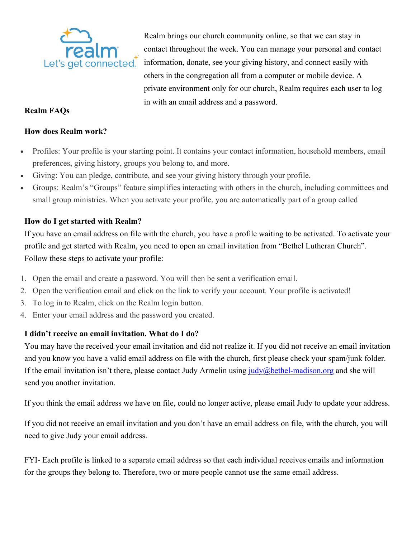

# **Realm FAQs**

#### **How does Realm work?**

• Profiles: Your profile is your starting point. It contains your contact information, household members, email preferences, giving history, groups you belong to, and more.

- Giving: You can pledge, contribute, and see your giving history through your profile.
- Groups: Realm's "Groups" feature simplifies interacting with others in the church, including committees and small group ministries. When you activate your profile, you are automatically part of a group called

## **How do I get started with Realm?**

If you have an email address on file with the church, you have a profile waiting to be activated. To activate your profile and get started with Realm, you need to open an email invitation from "Bethel Lutheran Church". Follow these steps to activate your profile:

- 1. Open the email and create a password. You will then be sent a verification email.
- 2. Open the verification email and click on the link to verify your account. Your profile is activated!
- 3. To log in to Realm, click on the Realm login button.
- 4. Enter your email address and the password you created.

## **I didn't receive an email invitation. What do I do?**

You may have the received your email invitation and did not realize it. If you did not receive an email invitation and you know you have a valid email address on file with the church, first please check your spam/junk folder. If the email invitation isn't there, please contact Judy Armelin using  $\frac{iudy}{\omega}$ bethel-madison.org and she will send you another invitation.

If you think the email address we have on file, could no longer active, please email Judy to update your address.

If you did not receive an email invitation and you don't have an email address on file, with the church, you will need to give Judy your email address.

FYI- Each profile is linked to a separate email address so that each individual receives emails and information for the groups they belong to. Therefore, two or more people cannot use the same email address.

Realm brings our church community online, so that we can stay in contact throughout the week. You can manage your personal and contact information, donate, see your giving history, and connect easily with others in the congregation all from a computer or mobile device. A private environment only for our church, Realm requires each user to log in with an email address and a password.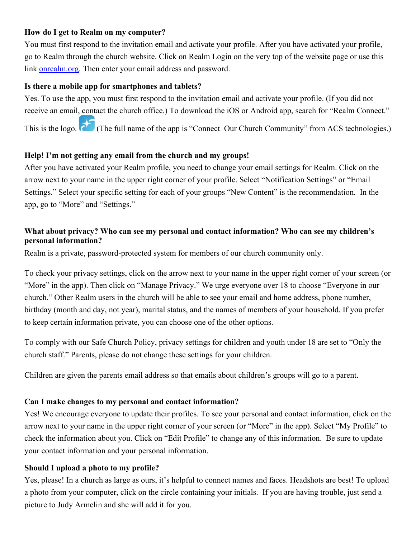## **How do I get to Realm on my computer?**

You must first respond to the invitation email and activate your profile. After you have activated your profile, go to Realm through the church website. Click on Realm Login on the very top of the website page or use this link onrealm.org. Then enter your email address and password.

#### **Is there a mobile app for smartphones and tablets?**

Yes. To use the app, you must first respond to the invitation email and activate your profile. (If you did not receive an email, contact the church office.) To download the iOS or Android app, search for "Realm Connect." This is the logo. (The full name of the app is "Connect–Our Church Community" from ACS technologies.)

### **Help! I'm not getting any email from the church and my groups!**

After you have activated your Realm profile, you need to change your email settings for Realm. Click on the arrow next to your name in the upper right corner of your profile. Select "Notification Settings" or "Email Settings." Select your specific setting for each of your groups "New Content" is the recommendation. In the app, go to "More" and "Settings."

## **What about privacy? Who can see my personal and contact information? Who can see my children's personal information?**

Realm is a private, password-protected system for members of our church community only.

To check your privacy settings, click on the arrow next to your name in the upper right corner of your screen (or "More" in the app). Then click on "Manage Privacy." We urge everyone over 18 to choose "Everyone in our church." Other Realm users in the church will be able to see your email and home address, phone number, birthday (month and day, not year), marital status, and the names of members of your household. If you prefer to keep certain information private, you can choose one of the other options.

To comply with our Safe Church Policy, privacy settings for children and youth under 18 are set to "Only the church staff." Parents, please do not change these settings for your children.

Children are given the parents email address so that emails about children's groups will go to a parent.

#### **Can I make changes to my personal and contact information?**

Yes! We encourage everyone to update their profiles. To see your personal and contact information, click on the arrow next to your name in the upper right corner of your screen (or "More" in the app). Select "My Profile" to check the information about you. Click on "Edit Profile" to change any of this information. Be sure to update your contact information and your personal information.

#### **Should I upload a photo to my profile?**

Yes, please! In a church as large as ours, it's helpful to connect names and faces. Headshots are best! To upload a photo from your computer, click on the circle containing your initials. If you are having trouble, just send a picture to Judy Armelin and she will add it for you.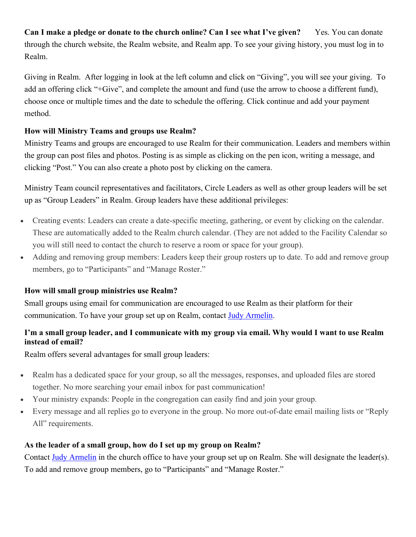**Can I make a pledge or donate to the church online? Can I see what I've given?** Yes. You can donate through the church website, the Realm website, and Realm app. To see your giving history, you must log in to Realm.

Giving in Realm. After logging in look at the left column and click on "Giving", you will see your giving. To add an offering click "+Give", and complete the amount and fund (use the arrow to choose a different fund), choose once or multiple times and the date to schedule the offering. Click continue and add your payment method.

# **How will Ministry Teams and groups use Realm?**

Ministry Teams and groups are encouraged to use Realm for their communication. Leaders and members within the group can post files and photos. Posting is as simple as clicking on the pen icon, writing a message, and clicking "Post." You can also create a photo post by clicking on the camera.

Ministry Team council representatives and facilitators, Circle Leaders as well as other group leaders will be set up as "Group Leaders" in Realm. Group leaders have these additional privileges:

- Creating events: Leaders can create a date-specific meeting, gathering, or event by clicking on the calendar. These are automatically added to the Realm church calendar. (They are not added to the Facility Calendar so you will still need to contact the church to reserve a room or space for your group).
- Adding and removing group members: Leaders keep their group rosters up to date. To add and remove group members, go to "Participants" and "Manage Roster."

## **How will small group ministries use Realm?**

Small groups using email for communication are encouraged to use Realm as their platform for their communication. To have your group set up on Realm, contact Judy Armelin.

# I'm a small group leader, and I communicate with my group via email. Why would I want to use Realm **instead of email?**

Realm offers several advantages for small group leaders:

- Realm has a dedicated space for your group, so all the messages, responses, and uploaded files are stored together. No more searching your email inbox for past communication!
- Your ministry expands: People in the congregation can easily find and join your group.
- Every message and all replies go to everyone in the group. No more out-of-date email mailing lists or "Reply All" requirements.

# **As the leader of a small group, how do I set up my group on Realm?**

Contact Judy Armelin in the church office to have your group set up on Realm. She will designate the leader(s). To add and remove group members, go to "Participants" and "Manage Roster."